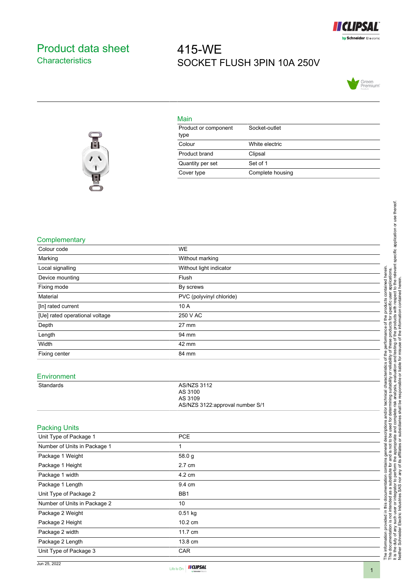

## <span id="page-0-0"></span>Product data sheet **Characteristics**

# 415-WE SOCKET FLUSH 3PIN 10A 250V





### Main

| Product or component<br>type | Socket-outlet    |
|------------------------------|------------------|
| Colour                       | White electric   |
| Product brand                | Clipsal          |
| Quantity per set             | Set of 1         |
| Cover type                   | Complete housing |

#### **Complementary**

| Complementary<br><b>WE</b><br>Colour code<br>Marking<br>Without marking<br>Without light indicator<br>Local signalling<br>Flush<br>Device mounting<br>Fixing mode<br>By screws<br>Material<br>PVC (polyvinyl chloride)<br>10 A<br>[In] rated current<br>250 V AC<br>[Ue] rated operational voltage<br>Depth<br>27 mm<br>Length<br>94 mm<br>Width<br>42 mm<br>Fixing center<br>84 mm<br>Environment<br><b>AS/NZS 3112</b><br>Standards<br>AS 3100<br>AS 3109<br>AS/NZS 3122:approval number S/1<br><b>Packing Units</b><br>Unit Type of Package 1<br><b>PCE</b><br>Number of Units in Package 1<br>$\mathbf{1}$<br>Package 1 Weight<br>58.0 g<br>2.7 cm<br>Package 1 Height<br>4.2 cm<br>Package 1 width<br>Package 1 Length<br>9.4 cm<br>Unit Type of Package 2<br>BB <sub>1</sub><br>Number of Units in Package 2<br>10 |  |                                                                                                                                                                                                                |
|--------------------------------------------------------------------------------------------------------------------------------------------------------------------------------------------------------------------------------------------------------------------------------------------------------------------------------------------------------------------------------------------------------------------------------------------------------------------------------------------------------------------------------------------------------------------------------------------------------------------------------------------------------------------------------------------------------------------------------------------------------------------------------------------------------------------------|--|----------------------------------------------------------------------------------------------------------------------------------------------------------------------------------------------------------------|
|                                                                                                                                                                                                                                                                                                                                                                                                                                                                                                                                                                                                                                                                                                                                                                                                                          |  |                                                                                                                                                                                                                |
|                                                                                                                                                                                                                                                                                                                                                                                                                                                                                                                                                                                                                                                                                                                                                                                                                          |  |                                                                                                                                                                                                                |
|                                                                                                                                                                                                                                                                                                                                                                                                                                                                                                                                                                                                                                                                                                                                                                                                                          |  | lete risk analysis, evaluation and testing of the products with respect to the relevant specific application or use thereof.<br>shall be responsible or liable for misuse of the information contained herein. |
|                                                                                                                                                                                                                                                                                                                                                                                                                                                                                                                                                                                                                                                                                                                                                                                                                          |  |                                                                                                                                                                                                                |
|                                                                                                                                                                                                                                                                                                                                                                                                                                                                                                                                                                                                                                                                                                                                                                                                                          |  |                                                                                                                                                                                                                |
|                                                                                                                                                                                                                                                                                                                                                                                                                                                                                                                                                                                                                                                                                                                                                                                                                          |  |                                                                                                                                                                                                                |
|                                                                                                                                                                                                                                                                                                                                                                                                                                                                                                                                                                                                                                                                                                                                                                                                                          |  |                                                                                                                                                                                                                |
|                                                                                                                                                                                                                                                                                                                                                                                                                                                                                                                                                                                                                                                                                                                                                                                                                          |  | contained herein<br>applications                                                                                                                                                                               |
|                                                                                                                                                                                                                                                                                                                                                                                                                                                                                                                                                                                                                                                                                                                                                                                                                          |  |                                                                                                                                                                                                                |
|                                                                                                                                                                                                                                                                                                                                                                                                                                                                                                                                                                                                                                                                                                                                                                                                                          |  | user                                                                                                                                                                                                           |
|                                                                                                                                                                                                                                                                                                                                                                                                                                                                                                                                                                                                                                                                                                                                                                                                                          |  | products<br>pecific                                                                                                                                                                                            |
|                                                                                                                                                                                                                                                                                                                                                                                                                                                                                                                                                                                                                                                                                                                                                                                                                          |  | ō                                                                                                                                                                                                              |
|                                                                                                                                                                                                                                                                                                                                                                                                                                                                                                                                                                                                                                                                                                                                                                                                                          |  | of the<br>oducts                                                                                                                                                                                               |
|                                                                                                                                                                                                                                                                                                                                                                                                                                                                                                                                                                                                                                                                                                                                                                                                                          |  | performance                                                                                                                                                                                                    |
|                                                                                                                                                                                                                                                                                                                                                                                                                                                                                                                                                                                                                                                                                                                                                                                                                          |  | ese                                                                                                                                                                                                            |
|                                                                                                                                                                                                                                                                                                                                                                                                                                                                                                                                                                                                                                                                                                                                                                                                                          |  | ৳<br>₿                                                                                                                                                                                                         |
|                                                                                                                                                                                                                                                                                                                                                                                                                                                                                                                                                                                                                                                                                                                                                                                                                          |  | reliability<br>৳                                                                                                                                                                                               |
|                                                                                                                                                                                                                                                                                                                                                                                                                                                                                                                                                                                                                                                                                                                                                                                                                          |  | characteristics<br>$\overleftarrow{\mathrm{o}}$                                                                                                                                                                |
|                                                                                                                                                                                                                                                                                                                                                                                                                                                                                                                                                                                                                                                                                                                                                                                                                          |  | suitability                                                                                                                                                                                                    |
|                                                                                                                                                                                                                                                                                                                                                                                                                                                                                                                                                                                                                                                                                                                                                                                                                          |  |                                                                                                                                                                                                                |
|                                                                                                                                                                                                                                                                                                                                                                                                                                                                                                                                                                                                                                                                                                                                                                                                                          |  | technical                                                                                                                                                                                                      |
|                                                                                                                                                                                                                                                                                                                                                                                                                                                                                                                                                                                                                                                                                                                                                                                                                          |  | determining                                                                                                                                                                                                    |
|                                                                                                                                                                                                                                                                                                                                                                                                                                                                                                                                                                                                                                                                                                                                                                                                                          |  | complete risk<br>and/or<br>ځ                                                                                                                                                                                   |
|                                                                                                                                                                                                                                                                                                                                                                                                                                                                                                                                                                                                                                                                                                                                                                                                                          |  | iptions<br>used<br>and                                                                                                                                                                                         |
|                                                                                                                                                                                                                                                                                                                                                                                                                                                                                                                                                                                                                                                                                                                                                                                                                          |  | descr<br>م<br>م                                                                                                                                                                                                |
|                                                                                                                                                                                                                                                                                                                                                                                                                                                                                                                                                                                                                                                                                                                                                                                                                          |  | ೆ<br>not                                                                                                                                                                                                       |
|                                                                                                                                                                                                                                                                                                                                                                                                                                                                                                                                                                                                                                                                                                                                                                                                                          |  | general<br><u>ِي</u><br>and                                                                                                                                                                                    |
|                                                                                                                                                                                                                                                                                                                                                                                                                                                                                                                                                                                                                                                                                                                                                                                                                          |  | contains<br>₫                                                                                                                                                                                                  |
|                                                                                                                                                                                                                                                                                                                                                                                                                                                                                                                                                                                                                                                                                                                                                                                                                          |  | perform<br>$\mathfrak{Q}$                                                                                                                                                                                      |
|                                                                                                                                                                                                                                                                                                                                                                                                                                                                                                                                                                                                                                                                                                                                                                                                                          |  | this documentation<br>substit                                                                                                                                                                                  |
|                                                                                                                                                                                                                                                                                                                                                                                                                                                                                                                                                                                                                                                                                                                                                                                                                          |  | æ<br>æ                                                                                                                                                                                                         |
|                                                                                                                                                                                                                                                                                                                                                                                                                                                                                                                                                                                                                                                                                                                                                                                                                          |  | or integrator to<br>The information provided in this docu<br>This documentation is not intended a<br>It is the duty of any such user or integ<br>Neither Schneider Electric Industries                         |
| 0.51 kg<br>Package 2 Weight                                                                                                                                                                                                                                                                                                                                                                                                                                                                                                                                                                                                                                                                                                                                                                                              |  |                                                                                                                                                                                                                |
| Package 2 Height<br>10.2 cm                                                                                                                                                                                                                                                                                                                                                                                                                                                                                                                                                                                                                                                                                                                                                                                              |  |                                                                                                                                                                                                                |
| 11.7 cm<br>Package 2 width                                                                                                                                                                                                                                                                                                                                                                                                                                                                                                                                                                                                                                                                                                                                                                                               |  |                                                                                                                                                                                                                |
| Package 2 Length<br>13.8 cm                                                                                                                                                                                                                                                                                                                                                                                                                                                                                                                                                                                                                                                                                                                                                                                              |  |                                                                                                                                                                                                                |
| Unit Type of Package 3<br>CAR                                                                                                                                                                                                                                                                                                                                                                                                                                                                                                                                                                                                                                                                                                                                                                                            |  |                                                                                                                                                                                                                |
|                                                                                                                                                                                                                                                                                                                                                                                                                                                                                                                                                                                                                                                                                                                                                                                                                          |  |                                                                                                                                                                                                                |